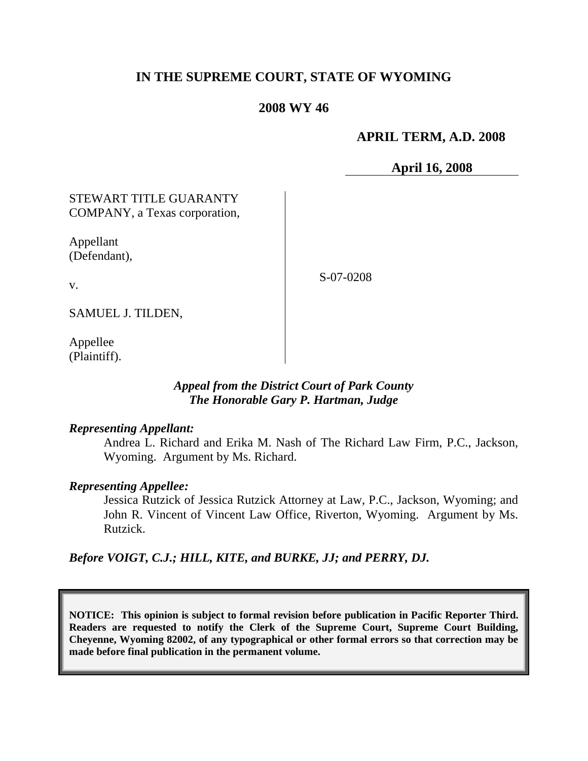# **IN THE SUPREME COURT, STATE OF WYOMING**

## **2008 WY 46**

# **APRIL TERM, A.D. 2008**

**April 16, 2008**

# STEWART TITLE GUARANTY COMPANY, a Texas corporation,

Appellant (Defendant),

S-07-0208

v.

SAMUEL J. TILDEN,

Appellee (Plaintiff).

### *Appeal from the District Court of Park County The Honorable Gary P. Hartman, Judge*

#### *Representing Appellant:*

Andrea L. Richard and Erika M. Nash of The Richard Law Firm, P.C., Jackson, Wyoming. Argument by Ms. Richard.

#### *Representing Appellee:*

Jessica Rutzick of Jessica Rutzick Attorney at Law, P.C., Jackson, Wyoming; and John R. Vincent of Vincent Law Office, Riverton, Wyoming. Argument by Ms. Rutzick.

*Before VOIGT, C.J.; HILL, KITE, and BURKE, JJ; and PERRY, DJ.*

**NOTICE: This opinion is subject to formal revision before publication in Pacific Reporter Third. Readers are requested to notify the Clerk of the Supreme Court, Supreme Court Building, Cheyenne, Wyoming 82002, of any typographical or other formal errors so that correction may be made before final publication in the permanent volume.**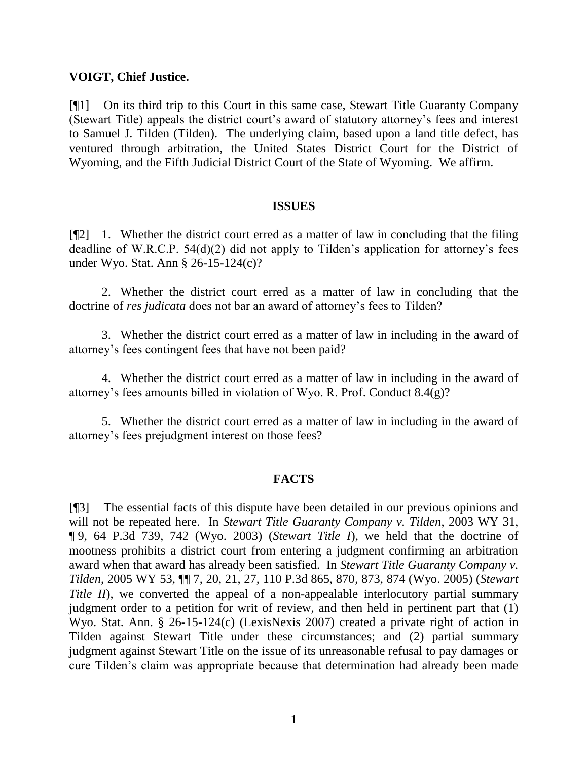#### **VOIGT, Chief Justice.**

[¶1] On its third trip to this Court in this same case, Stewart Title Guaranty Company (Stewart Title) appeals the district court's award of statutory attorney's fees and interest to Samuel J. Tilden (Tilden). The underlying claim, based upon a land title defect, has ventured through arbitration, the United States District Court for the District of Wyoming, and the Fifth Judicial District Court of the State of Wyoming. We affirm.

#### **ISSUES**

[¶2] 1. Whether the district court erred as a matter of law in concluding that the filing deadline of W.R.C.P. 54(d)(2) did not apply to Tilden's application for attorney's fees under Wyo. Stat. Ann § 26-15-124(c)?

2. Whether the district court erred as a matter of law in concluding that the doctrine of *res judicata* does not bar an award of attorney's fees to Tilden?

3. Whether the district court erred as a matter of law in including in the award of attorney's fees contingent fees that have not been paid?

4. Whether the district court erred as a matter of law in including in the award of attorney's fees amounts billed in violation of Wyo. R. Prof. Conduct 8.4(g)?

5. Whether the district court erred as a matter of law in including in the award of attorney's fees prejudgment interest on those fees?

#### **FACTS**

[¶3] The essential facts of this dispute have been detailed in our previous opinions and will not be repeated here. In *Stewart Title Guaranty Company v. Tilden*, 2003 WY 31, ¶ 9, 64 P.3d 739, 742 (Wyo. 2003) (*Stewart Title I*), we held that the doctrine of mootness prohibits a district court from entering a judgment confirming an arbitration award when that award has already been satisfied. In *Stewart Title Guaranty Company v. Tilden*, 2005 WY 53, ¶¶ 7, 20, 21, 27, 110 P.3d 865, 870, 873, 874 (Wyo. 2005) (*Stewart Title II*), we converted the appeal of a non-appealable interlocutory partial summary judgment order to a petition for writ of review, and then held in pertinent part that (1) Wyo. Stat. Ann. § 26-15-124(c) (LexisNexis 2007) created a private right of action in Tilden against Stewart Title under these circumstances; and (2) partial summary judgment against Stewart Title on the issue of its unreasonable refusal to pay damages or cure Tilden's claim was appropriate because that determination had already been made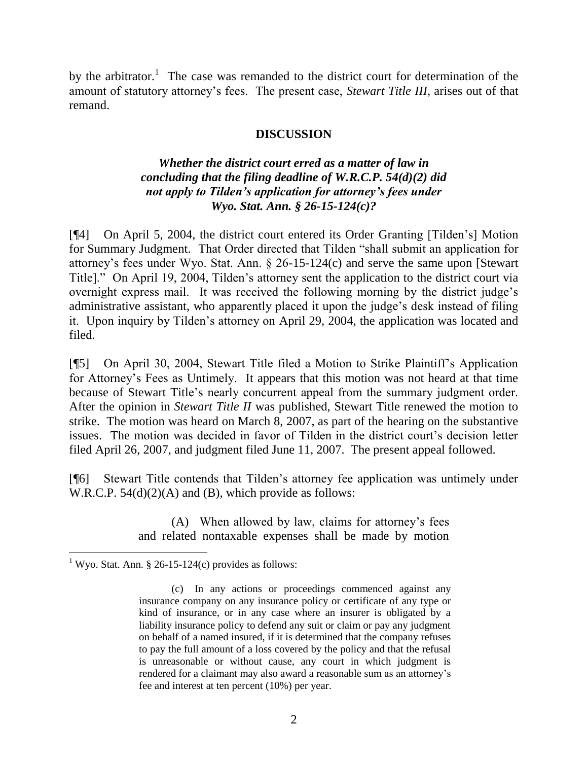by the arbitrator.<sup>1</sup> The case was remanded to the district court for determination of the amount of statutory attorney's fees. The present case, *Stewart Title III*, arises out of that remand.

### **DISCUSSION**

# *Whether the district court erred as a matter of law in concluding that the filing deadline of W.R.C.P. 54(d)(2) did not apply to Tilden's application for attorney's fees under Wyo. Stat. Ann. § 26-15-124(c)?*

[¶4] On April 5, 2004, the district court entered its Order Granting [Tilden's] Motion for Summary Judgment. That Order directed that Tilden "shall submit an application for attorney's fees under Wyo. Stat. Ann. § 26-15-124(c) and serve the same upon [Stewart Title]." On April 19, 2004, Tilden's attorney sent the application to the district court via overnight express mail. It was received the following morning by the district judge's administrative assistant, who apparently placed it upon the judge's desk instead of filing it. Upon inquiry by Tilden's attorney on April 29, 2004, the application was located and filed.

[¶5] On April 30, 2004, Stewart Title filed a Motion to Strike Plaintiff's Application for Attorney's Fees as Untimely. It appears that this motion was not heard at that time because of Stewart Title's nearly concurrent appeal from the summary judgment order. After the opinion in *Stewart Title II* was published, Stewart Title renewed the motion to strike. The motion was heard on March 8, 2007, as part of the hearing on the substantive issues. The motion was decided in favor of Tilden in the district court's decision letter filed April 26, 2007, and judgment filed June 11, 2007. The present appeal followed.

[¶6] Stewart Title contends that Tilden's attorney fee application was untimely under W.R.C.P.  $54(d)(2)(A)$  and (B), which provide as follows:

> (A) When allowed by law, claims for attorney's fees and related nontaxable expenses shall be made by motion

 $\overline{a}$ 

<sup>&</sup>lt;sup>1</sup> Wyo. Stat. Ann. § 26-15-124(c) provides as follows:

<sup>(</sup>c) In any actions or proceedings commenced against any insurance company on any insurance policy or certificate of any type or kind of insurance, or in any case where an insurer is obligated by a liability insurance policy to defend any suit or claim or pay any judgment on behalf of a named insured, if it is determined that the company refuses to pay the full amount of a loss covered by the policy and that the refusal is unreasonable or without cause, any court in which judgment is rendered for a claimant may also award a reasonable sum as an attorney's fee and interest at ten percent (10%) per year.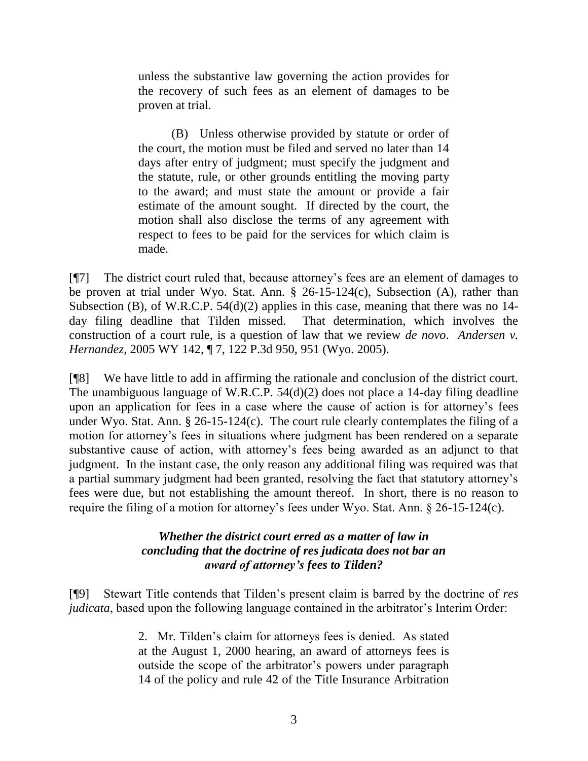unless the substantive law governing the action provides for the recovery of such fees as an element of damages to be proven at trial.

(B) Unless otherwise provided by statute or order of the court, the motion must be filed and served no later than 14 days after entry of judgment; must specify the judgment and the statute, rule, or other grounds entitling the moving party to the award; and must state the amount or provide a fair estimate of the amount sought. If directed by the court, the motion shall also disclose the terms of any agreement with respect to fees to be paid for the services for which claim is made.

[¶7] The district court ruled that, because attorney's fees are an element of damages to be proven at trial under Wyo. Stat. Ann. § 26-15-124(c), Subsection (A), rather than Subsection (B), of W.R.C.P. 54(d)(2) applies in this case, meaning that there was no 14 day filing deadline that Tilden missed. That determination, which involves the construction of a court rule, is a question of law that we review *de novo*. *Andersen v. Hernandez*, 2005 WY 142, ¶ 7, 122 P.3d 950, 951 (Wyo. 2005).

[¶8] We have little to add in affirming the rationale and conclusion of the district court. The unambiguous language of W.R.C.P. 54(d)(2) does not place a 14-day filing deadline upon an application for fees in a case where the cause of action is for attorney's fees under Wyo. Stat. Ann. § 26-15-124(c). The court rule clearly contemplates the filing of a motion for attorney's fees in situations where judgment has been rendered on a separate substantive cause of action, with attorney's fees being awarded as an adjunct to that judgment. In the instant case, the only reason any additional filing was required was that a partial summary judgment had been granted, resolving the fact that statutory attorney's fees were due, but not establishing the amount thereof. In short, there is no reason to require the filing of a motion for attorney's fees under Wyo. Stat. Ann. § 26-15-124(c).

# *Whether the district court erred as a matter of law in concluding that the doctrine of res judicata does not bar an award of attorney's fees to Tilden?*

[¶9] Stewart Title contends that Tilden's present claim is barred by the doctrine of *res judicata*, based upon the following language contained in the arbitrator's Interim Order:

> 2. Mr. Tilden's claim for attorneys fees is denied. As stated at the August 1, 2000 hearing, an award of attorneys fees is outside the scope of the arbitrator's powers under paragraph 14 of the policy and rule 42 of the Title Insurance Arbitration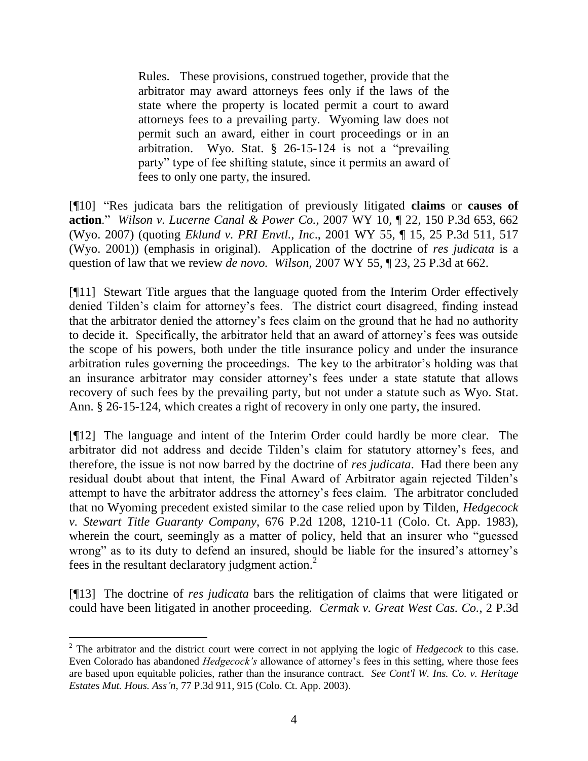Rules. These provisions, construed together, provide that the arbitrator may award attorneys fees only if the laws of the state where the property is located permit a court to award attorneys fees to a prevailing party. Wyoming law does not permit such an award, either in court proceedings or in an arbitration. Wyo. Stat. § 26-15-124 is not a "prevailing party" type of fee shifting statute, since it permits an award of fees to only one party, the insured.

[¶10] "Res judicata bars the relitigation of previously litigated **claims** or **causes of action**." *Wilson v. Lucerne Canal & Power Co.*, 2007 WY 10, ¶ 22, 150 P.3d 653, 662 (Wyo. 2007) (quoting *Eklund v. PRI Envtl., Inc*., 2001 WY 55, ¶ 15, 25 P.3d 511, 517 (Wyo. 2001)) (emphasis in original). Application of the doctrine of *res judicata* is a question of law that we review *de novo. Wilson*, 2007 WY 55, ¶ 23, 25 P.3d at 662.

[¶11] Stewart Title argues that the language quoted from the Interim Order effectively denied Tilden's claim for attorney's fees. The district court disagreed, finding instead that the arbitrator denied the attorney's fees claim on the ground that he had no authority to decide it. Specifically, the arbitrator held that an award of attorney's fees was outside the scope of his powers, both under the title insurance policy and under the insurance arbitration rules governing the proceedings. The key to the arbitrator's holding was that an insurance arbitrator may consider attorney's fees under a state statute that allows recovery of such fees by the prevailing party, but not under a statute such as Wyo. Stat. Ann. § 26-15-124, which creates a right of recovery in only one party, the insured.

[¶12] The language and intent of the Interim Order could hardly be more clear. The arbitrator did not address and decide Tilden's claim for statutory attorney's fees, and therefore, the issue is not now barred by the doctrine of *res judicata*. Had there been any residual doubt about that intent, the Final Award of Arbitrator again rejected Tilden's attempt to have the arbitrator address the attorney's fees claim. The arbitrator concluded that no Wyoming precedent existed similar to the case relied upon by Tilden, *Hedgecock v. Stewart Title Guaranty Company*, 676 P.2d 1208, 1210-11 (Colo. Ct. App. 1983), wherein the court, seemingly as a matter of policy, held that an insurer who "guessed wrong" as to its duty to defend an insured, should be liable for the insured's attorney's fees in the resultant declaratory judgment action.<sup>2</sup>

[¶13] The doctrine of *res judicata* bars the relitigation of claims that were litigated or could have been litigated in another proceeding. *Cermak v. Great West Cas. Co.*, 2 P.3d

 $\overline{a}$ 

<sup>2</sup> The arbitrator and the district court were correct in not applying the logic of *Hedgecock* to this case. Even Colorado has abandoned *Hedgecock's* allowance of attorney's fees in this setting, where those fees are based upon equitable policies, rather than the insurance contract. *See Cont'l W. Ins. Co. v. Heritage Estates Mut. Hous. Ass'n*, 77 P.3d 911, 915 (Colo. Ct. App. 2003).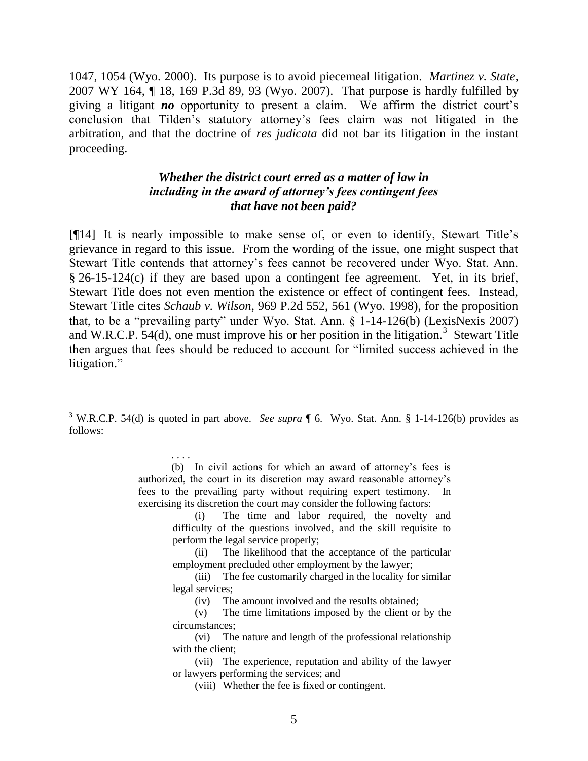1047, 1054 (Wyo. 2000). Its purpose is to avoid piecemeal litigation. *Martinez v. State*, 2007 WY 164, ¶ 18, 169 P.3d 89, 93 (Wyo. 2007). That purpose is hardly fulfilled by giving a litigant *no* opportunity to present a claim. We affirm the district court's conclusion that Tilden's statutory attorney's fees claim was not litigated in the arbitration, and that the doctrine of *res judicata* did not bar its litigation in the instant proceeding.

## *Whether the district court erred as a matter of law in including in the award of attorney's fees contingent fees that have not been paid?*

[¶14] It is nearly impossible to make sense of, or even to identify, Stewart Title's grievance in regard to this issue. From the wording of the issue, one might suspect that Stewart Title contends that attorney's fees cannot be recovered under Wyo. Stat. Ann. § 26-15-124(c) if they are based upon a contingent fee agreement. Yet, in its brief, Stewart Title does not even mention the existence or effect of contingent fees. Instead, Stewart Title cites *Schaub v. Wilson*, 969 P.2d 552, 561 (Wyo. 1998), for the proposition that, to be a "prevailing party" under Wyo. Stat. Ann. § 1-14-126(b) (LexisNexis 2007) and W.R.C.P.  $54(d)$ , one must improve his or her position in the litigation.<sup>3</sup> Stewart Title then argues that fees should be reduced to account for "limited success achieved in the litigation."

 $\overline{a}$ 

. . . . (b) In civil actions for which an award of attorney's fees is authorized, the court in its discretion may award reasonable attorney's fees to the prevailing party without requiring expert testimony. In exercising its discretion the court may consider the following factors:

> (i) The time and labor required, the novelty and difficulty of the questions involved, and the skill requisite to perform the legal service properly;

> (ii) The likelihood that the acceptance of the particular employment precluded other employment by the lawyer;

> (iii) The fee customarily charged in the locality for similar legal services;

(iv) The amount involved and the results obtained;

(v) The time limitations imposed by the client or by the circumstances;

(vi) The nature and length of the professional relationship with the client:

(vii) The experience, reputation and ability of the lawyer or lawyers performing the services; and

(viii) Whether the fee is fixed or contingent.

<sup>3</sup> W.R.C.P. 54(d) is quoted in part above. *See supra* ¶ 6. Wyo. Stat. Ann. § 1-14-126(b) provides as follows: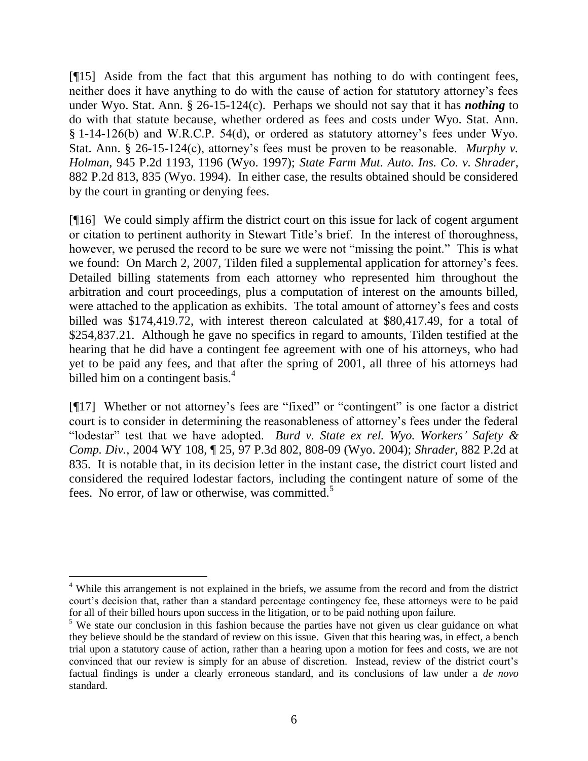[¶15] Aside from the fact that this argument has nothing to do with contingent fees, neither does it have anything to do with the cause of action for statutory attorney's fees under Wyo. Stat. Ann. § 26-15-124(c). Perhaps we should not say that it has *nothing* to do with that statute because, whether ordered as fees and costs under Wyo. Stat. Ann. § 1-14-126(b) and W.R.C.P. 54(d), or ordered as statutory attorney's fees under Wyo. Stat. Ann. § 26-15-124(c), attorney's fees must be proven to be reasonable. *Murphy v. Holman*, 945 P.2d 1193, 1196 (Wyo. 1997); *State Farm Mut. Auto. Ins. Co. v. Shrader*, 882 P.2d 813, 835 (Wyo. 1994). In either case, the results obtained should be considered by the court in granting or denying fees.

[¶16] We could simply affirm the district court on this issue for lack of cogent argument or citation to pertinent authority in Stewart Title's brief. In the interest of thoroughness, however, we perused the record to be sure we were not "missing the point." This is what we found: On March 2, 2007, Tilden filed a supplemental application for attorney's fees. Detailed billing statements from each attorney who represented him throughout the arbitration and court proceedings, plus a computation of interest on the amounts billed, were attached to the application as exhibits. The total amount of attorney's fees and costs billed was \$174,419.72, with interest thereon calculated at \$80,417.49, for a total of \$254,837.21. Although he gave no specifics in regard to amounts, Tilden testified at the hearing that he did have a contingent fee agreement with one of his attorneys, who had yet to be paid any fees, and that after the spring of 2001, all three of his attorneys had billed him on a contingent basis.<sup>4</sup>

[¶17] Whether or not attorney's fees are "fixed" or "contingent" is one factor a district court is to consider in determining the reasonableness of attorney's fees under the federal "lodestar" test that we have adopted. *Burd v. State ex rel. Wyo. Workers' Safety & Comp. Div.*, 2004 WY 108, ¶ 25, 97 P.3d 802, 808-09 (Wyo. 2004); *Shrader*, 882 P.2d at 835. It is notable that, in its decision letter in the instant case, the district court listed and considered the required lodestar factors, including the contingent nature of some of the fees. No error, of law or otherwise, was committed.<sup>5</sup>

 $\overline{a}$ 

<sup>&</sup>lt;sup>4</sup> While this arrangement is not explained in the briefs, we assume from the record and from the district court's decision that, rather than a standard percentage contingency fee, these attorneys were to be paid for all of their billed hours upon success in the litigation, or to be paid nothing upon failure.

 $<sup>5</sup>$  We state our conclusion in this fashion because the parties have not given us clear guidance on what</sup> they believe should be the standard of review on this issue. Given that this hearing was, in effect, a bench trial upon a statutory cause of action, rather than a hearing upon a motion for fees and costs, we are not convinced that our review is simply for an abuse of discretion. Instead, review of the district court's factual findings is under a clearly erroneous standard, and its conclusions of law under a *de novo* standard.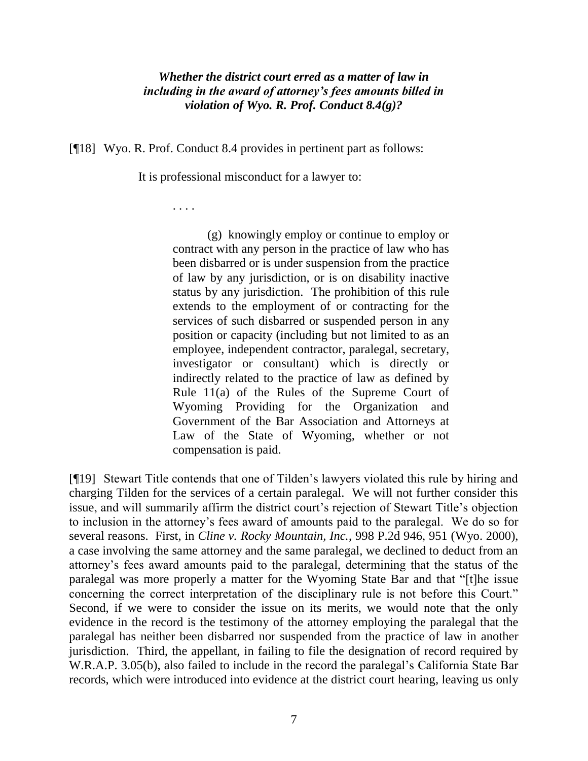## *Whether the district court erred as a matter of law in including in the award of attorney's fees amounts billed in violation of Wyo. R. Prof. Conduct 8.4(g)?*

[¶18] Wyo. R. Prof. Conduct 8.4 provides in pertinent part as follows:

It is professional misconduct for a lawyer to:

. . . .

(g) knowingly employ or continue to employ or contract with any person in the practice of law who has been disbarred or is under suspension from the practice of law by any jurisdiction, or is on disability inactive status by any jurisdiction. The prohibition of this rule extends to the employment of or contracting for the services of such disbarred or suspended person in any position or capacity (including but not limited to as an employee, independent contractor, paralegal, secretary, investigator or consultant) which is directly or indirectly related to the practice of law as defined by Rule 11(a) of the Rules of the Supreme Court of Wyoming Providing for the Organization and Government of the Bar Association and Attorneys at Law of the State of Wyoming, whether or not compensation is paid.

[¶19] Stewart Title contends that one of Tilden's lawyers violated this rule by hiring and charging Tilden for the services of a certain paralegal. We will not further consider this issue, and will summarily affirm the district court's rejection of Stewart Title's objection to inclusion in the attorney's fees award of amounts paid to the paralegal. We do so for several reasons. First, in *Cline v. Rocky Mountain, Inc.*, 998 P.2d 946, 951 (Wyo. 2000), a case involving the same attorney and the same paralegal, we declined to deduct from an attorney's fees award amounts paid to the paralegal, determining that the status of the paralegal was more properly a matter for the Wyoming State Bar and that "[t]he issue concerning the correct interpretation of the disciplinary rule is not before this Court." Second, if we were to consider the issue on its merits, we would note that the only evidence in the record is the testimony of the attorney employing the paralegal that the paralegal has neither been disbarred nor suspended from the practice of law in another jurisdiction. Third, the appellant, in failing to file the designation of record required by W.R.A.P. 3.05(b), also failed to include in the record the paralegal's California State Bar records, which were introduced into evidence at the district court hearing, leaving us only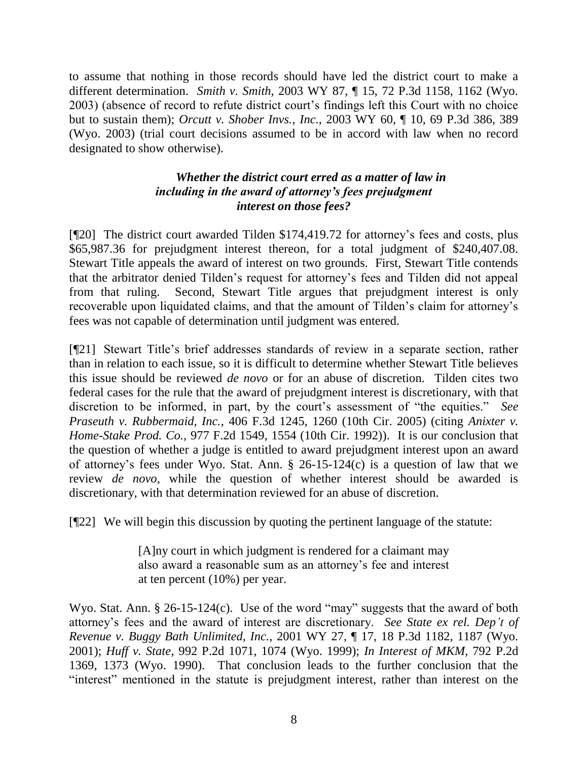to assume that nothing in those records should have led the district court to make a different determination. *Smith v. Smith*, 2003 WY 87, ¶ 15, 72 P.3d 1158, 1162 (Wyo. 2003) (absence of record to refute district court's findings left this Court with no choice but to sustain them); *Orcutt v. Shober Invs., Inc.*, 2003 WY 60, ¶ 10, 69 P.3d 386, 389 (Wyo. 2003) (trial court decisions assumed to be in accord with law when no record designated to show otherwise).

# *Whether the district court erred as a matter of law in including in the award of attorney's fees prejudgment interest on those fees?*

[¶20] The district court awarded Tilden \$174,419.72 for attorney's fees and costs, plus \$65,987.36 for prejudgment interest thereon, for a total judgment of \$240,407.08. Stewart Title appeals the award of interest on two grounds. First, Stewart Title contends that the arbitrator denied Tilden's request for attorney's fees and Tilden did not appeal from that ruling. Second, Stewart Title argues that prejudgment interest is only recoverable upon liquidated claims, and that the amount of Tilden's claim for attorney's fees was not capable of determination until judgment was entered.

[¶21] Stewart Title's brief addresses standards of review in a separate section, rather than in relation to each issue, so it is difficult to determine whether Stewart Title believes this issue should be reviewed *de novo* or for an abuse of discretion. Tilden cites two federal cases for the rule that the award of prejudgment interest is discretionary, with that discretion to be informed, in part, by the court's assessment of "the equities." *See Praseuth v. Rubbermaid, Inc.*, 406 F.3d 1245, 1260 (10th Cir. 2005) (citing *Anixter v. Home-Stake Prod. Co.*, 977 F.2d 1549, 1554 (10th Cir. 1992)). It is our conclusion that the question of whether a judge is entitled to award prejudgment interest upon an award of attorney's fees under Wyo. Stat. Ann. § 26-15-124(c) is a question of law that we review *de novo*, while the question of whether interest should be awarded is discretionary, with that determination reviewed for an abuse of discretion.

[¶22] We will begin this discussion by quoting the pertinent language of the statute:

[A]ny court in which judgment is rendered for a claimant may also award a reasonable sum as an attorney's fee and interest at ten percent (10%) per year.

Wyo. Stat. Ann. § 26-15-124(c). Use of the word "may" suggests that the award of both attorney's fees and the award of interest are discretionary. *See State ex rel. Dep't of Revenue v. Buggy Bath Unlimited, Inc.*, 2001 WY 27, ¶ 17, 18 P.3d 1182, 1187 (Wyo. 2001); *Huff v. State*, 992 P.2d 1071, 1074 (Wyo. 1999); *In Interest of MKM*, 792 P.2d 1369, 1373 (Wyo. 1990). That conclusion leads to the further conclusion that the "interest" mentioned in the statute is prejudgment interest, rather than interest on the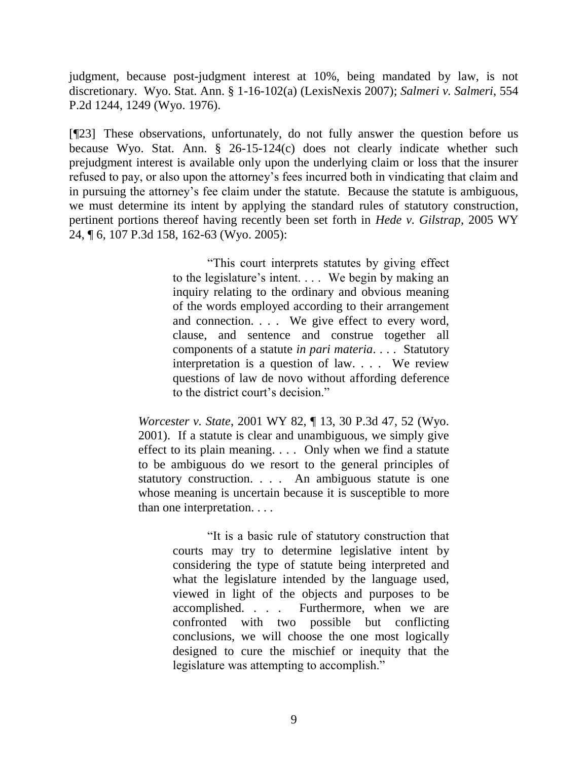judgment, because post-judgment interest at 10%, being mandated by law, is not discretionary. Wyo. Stat. Ann. § 1-16-102(a) (LexisNexis 2007); *Salmeri v. Salmeri*, 554 P.2d 1244, 1249 (Wyo. 1976).

[¶23] These observations, unfortunately, do not fully answer the question before us because Wyo. Stat. Ann. § 26-15-124(c) does not clearly indicate whether such prejudgment interest is available only upon the underlying claim or loss that the insurer refused to pay, or also upon the attorney's fees incurred both in vindicating that claim and in pursuing the attorney's fee claim under the statute. Because the statute is ambiguous, we must determine its intent by applying the standard rules of statutory construction, pertinent portions thereof having recently been set forth in *Hede v. Gilstrap*, 2005 WY 24, ¶ 6, 107 P.3d 158, 162-63 (Wyo. 2005):

> "This court interprets statutes by giving effect to the legislature's intent. . . . We begin by making an inquiry relating to the ordinary and obvious meaning of the words employed according to their arrangement and connection. . . . We give effect to every word, clause, and sentence and construe together all components of a statute *in pari materia*. . . . Statutory interpretation is a question of law. . . . We review questions of law de novo without affording deference to the district court's decision."

*Worcester v. State*, 2001 WY 82, ¶ 13, 30 P.3d 47, 52 (Wyo. 2001). If a statute is clear and unambiguous, we simply give effect to its plain meaning. . . . Only when we find a statute to be ambiguous do we resort to the general principles of statutory construction. . . . An ambiguous statute is one whose meaning is uncertain because it is susceptible to more than one interpretation. . . .

> "It is a basic rule of statutory construction that courts may try to determine legislative intent by considering the type of statute being interpreted and what the legislature intended by the language used, viewed in light of the objects and purposes to be accomplished. . . . Furthermore, when we are confronted with two possible but conflicting conclusions, we will choose the one most logically designed to cure the mischief or inequity that the legislature was attempting to accomplish."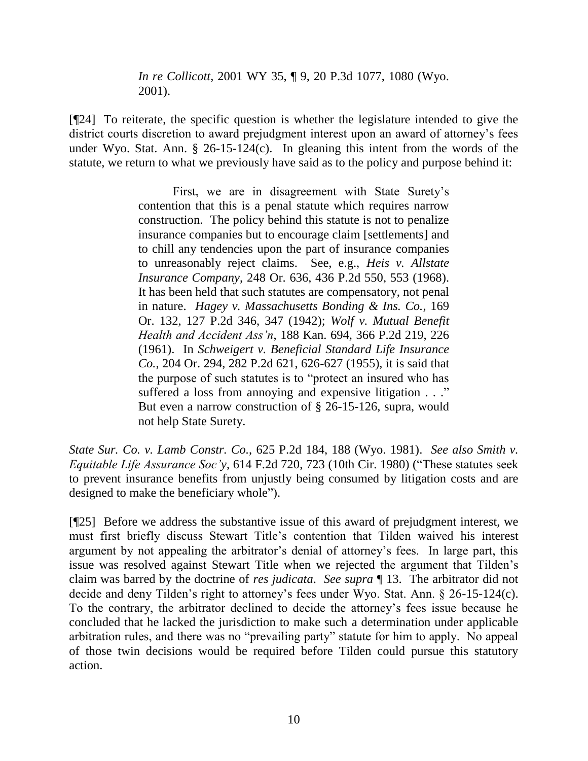*In re Collicott*, 2001 WY 35, ¶ 9, 20 P.3d 1077, 1080 (Wyo. 2001).

[¶24] To reiterate, the specific question is whether the legislature intended to give the district courts discretion to award prejudgment interest upon an award of attorney's fees under Wyo. Stat. Ann. § 26-15-124(c). In gleaning this intent from the words of the statute, we return to what we previously have said as to the policy and purpose behind it:

> First, we are in disagreement with State Surety's contention that this is a penal statute which requires narrow construction. The policy behind this statute is not to penalize insurance companies but to encourage claim [settlements] and to chill any tendencies upon the part of insurance companies to unreasonably reject claims. See, e.g., *Heis v. Allstate Insurance Company*, 248 Or. 636, 436 P.2d 550, 553 (1968). It has been held that such statutes are compensatory, not penal in nature. *Hagey v. Massachusetts Bonding & Ins. Co.*, 169 Or. 132, 127 P.2d 346, 347 (1942); *Wolf v. Mutual Benefit Health and Accident Ass'n*, 188 Kan. 694, 366 P.2d 219, 226 (1961). In *Schweigert v. Beneficial Standard Life Insurance Co.*, 204 Or. 294, 282 P.2d 621, 626-627 (1955), it is said that the purpose of such statutes is to "protect an insured who has suffered a loss from annoying and expensive litigation . . ." But even a narrow construction of § 26-15-126, supra, would not help State Surety.

*State Sur. Co. v. Lamb Constr. Co.*, 625 P.2d 184, 188 (Wyo. 1981). *See also Smith v. Equitable Life Assurance Soc'y*, 614 F.2d 720, 723 (10th Cir. 1980) ("These statutes seek to prevent insurance benefits from unjustly being consumed by litigation costs and are designed to make the beneficiary whole").

[¶25] Before we address the substantive issue of this award of prejudgment interest, we must first briefly discuss Stewart Title's contention that Tilden waived his interest argument by not appealing the arbitrator's denial of attorney's fees. In large part, this issue was resolved against Stewart Title when we rejected the argument that Tilden's claim was barred by the doctrine of *res judicata*. *See supra* ¶ 13. The arbitrator did not decide and deny Tilden's right to attorney's fees under Wyo. Stat. Ann. § 26-15-124(c). To the contrary, the arbitrator declined to decide the attorney's fees issue because he concluded that he lacked the jurisdiction to make such a determination under applicable arbitration rules, and there was no "prevailing party" statute for him to apply. No appeal of those twin decisions would be required before Tilden could pursue this statutory action.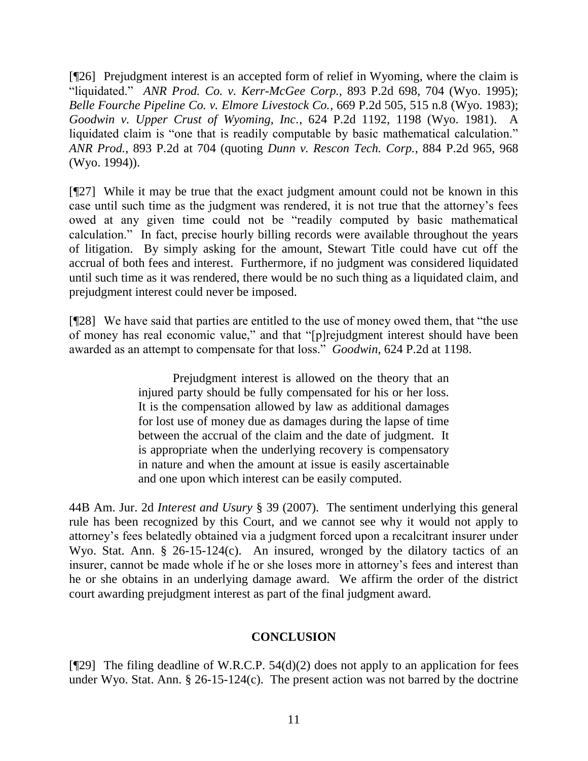[¶26] Prejudgment interest is an accepted form of relief in Wyoming, where the claim is "liquidated." *ANR Prod. Co. v. Kerr-McGee Corp.*, 893 P.2d 698, 704 (Wyo. 1995); *Belle Fourche Pipeline Co. v. Elmore Livestock Co.*, 669 P.2d 505, 515 n.8 (Wyo. 1983); *Goodwin v. Upper Crust of Wyoming, Inc.*, 624 P.2d 1192, 1198 (Wyo. 1981). A liquidated claim is "one that is readily computable by basic mathematical calculation." *ANR Prod.*, 893 P.2d at 704 (quoting *Dunn v. Rescon Tech. Corp.*, 884 P.2d 965, 968 (Wyo. 1994)).

[¶27] While it may be true that the exact judgment amount could not be known in this case until such time as the judgment was rendered, it is not true that the attorney's fees owed at any given time could not be "readily computed by basic mathematical calculation." In fact, precise hourly billing records were available throughout the years of litigation. By simply asking for the amount, Stewart Title could have cut off the accrual of both fees and interest. Furthermore, if no judgment was considered liquidated until such time as it was rendered, there would be no such thing as a liquidated claim, and prejudgment interest could never be imposed.

[¶28] We have said that parties are entitled to the use of money owed them, that "the use of money has real economic value," and that "[p]rejudgment interest should have been awarded as an attempt to compensate for that loss." *Goodwin*, 624 P.2d at 1198.

> Prejudgment interest is allowed on the theory that an injured party should be fully compensated for his or her loss. It is the compensation allowed by law as additional damages for lost use of money due as damages during the lapse of time between the accrual of the claim and the date of judgment. It is appropriate when the underlying recovery is compensatory in nature and when the amount at issue is easily ascertainable and one upon which interest can be easily computed.

44B Am. Jur. 2d *Interest and Usury* § 39 (2007). The sentiment underlying this general rule has been recognized by this Court, and we cannot see why it would not apply to attorney's fees belatedly obtained via a judgment forced upon a recalcitrant insurer under Wyo. Stat. Ann. § 26-15-124(c). An insured, wronged by the dilatory tactics of an insurer, cannot be made whole if he or she loses more in attorney's fees and interest than he or she obtains in an underlying damage award. We affirm the order of the district court awarding prejudgment interest as part of the final judgment award.

#### **CONCLUSION**

[ $[$ 29] The filing deadline of W.R.C.P. 54(d)(2) does not apply to an application for fees under Wyo. Stat. Ann.  $\S$  26-15-124(c). The present action was not barred by the doctrine